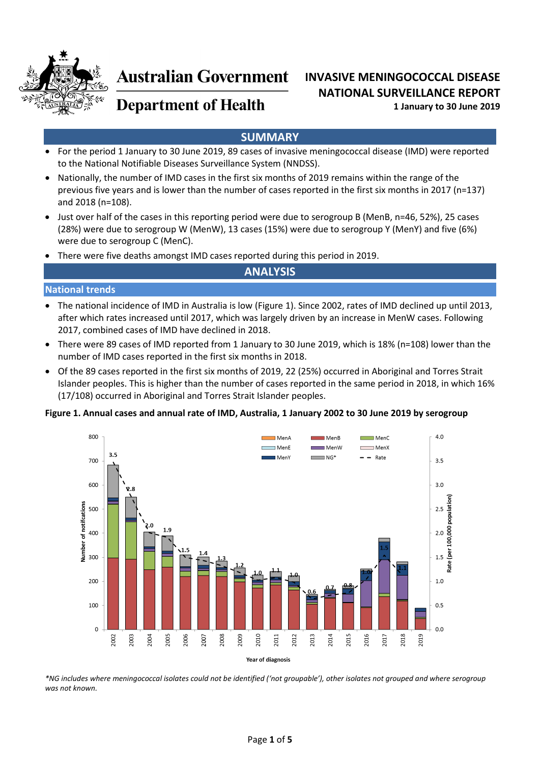

# **Australian Government**

# **INVASIVE MENINGOCOCCAL DISEASE NATIONAL SURVEILLANCE REPORT 1 January to 30 June 2019**

# **Department of Health**

# **SUMMARY**

- For the period 1 January to 30 June 2019, 89 cases of invasive meningococcal disease (IMD) were reported to the National Notifiable Diseases Surveillance System (NNDSS).
- Nationally, the number of IMD cases in the first six months of 2019 remains within the range of the previous five years and is lower than the number of cases reported in the first six months in 2017 (n=137) and 2018 (n=108).
- Just over half of the cases in this reporting period were due to serogroup B (MenB, n=46, 52%), 25 cases (28%) were due to serogroup W (MenW), 13 cases (15%) were due to serogroup Y (MenY) and five (6%) were due to serogroup C (MenC).
- There were five deaths amongst IMD cases reported during this period in 2019.

### **ANALYSIS**

#### **National trends**

- The national incidence of IMD in Australia is low [\(Figure 1\)](#page-0-0). Since 2002, rates of IMD declined up until 2013, after which rates increased until 2017, which was largely driven by an increase in MenW cases. Following 2017, combined cases of IMD have declined in 2018.
- There were 89 cases of IMD reported from 1 January to 30 June 2019, which is 18% (n=108) lower than the number of IMD cases reported in the first six months in 2018.
- Of the 89 cases reported in the first six months of 2019, 22 (25%) occurred in Aboriginal and Torres Strait Islander peoples. This is higher than the number of cases reported in the same period in 2018, in which 16% (17/108) occurred in Aboriginal and Torres Strait Islander peoples.

#### <span id="page-0-0"></span>**Figure 1. Annual cases and annual rate of IMD, Australia, 1 January 2002 to 30 June 2019 by serogroup**



*\*NG includes where meningococcal isolates could not be identified ('not groupable'), other isolates not grouped and where serogroup was not known.*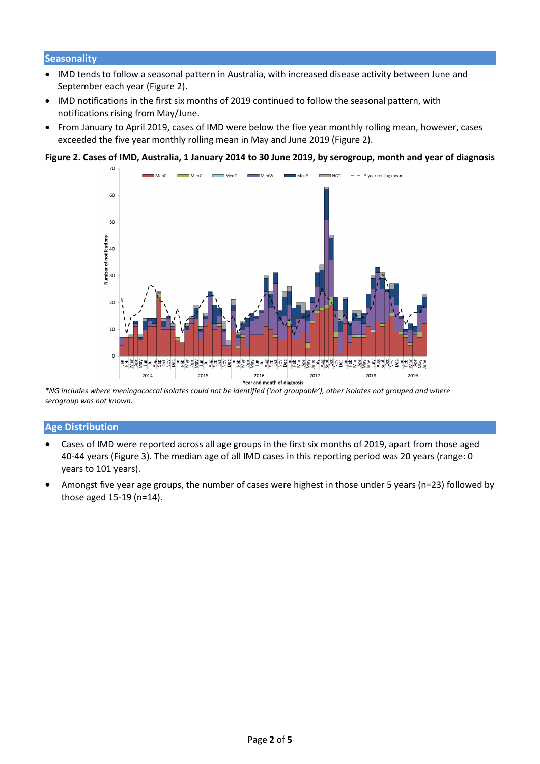#### **Seasonality**

- IMD tends to follow a seasonal pattern in Australia, with increased disease activity between June and September each year [\(Figure 2\)](#page-1-0).
- IMD notifications in the first six months of 2019 continued to follow the seasonal pattern, with notifications rising from May/June.
- From January to April 2019, cases of IMD were below the five year monthly rolling mean, however, cases exceeded the five year monthly rolling mean in May and June 2019 (Figure 2).

#### <span id="page-1-0"></span>**Figure 2. Cases of IMD, Australia, 1 January 2014 to 30 June 2019, by serogroup, month and year of diagnosis**



*<sup>\*</sup>NG includes where meningococcal isolates could not be identified ('not groupable'), other isolates not grouped and where serogroup was not known.*

#### **Age Distribution**

- Cases of IMD were reported across all age groups in the first six months of 2019, apart from those aged 40-44 years [\(Figure 3\)](#page-1-1). The median age of all IMD cases in this reporting period was 20 years (range: 0 years to 101 years).
- <span id="page-1-1"></span>• Amongst five year age groups, the number of cases were highest in those under 5 years (n=23) followed by those aged 15-19 (n=14).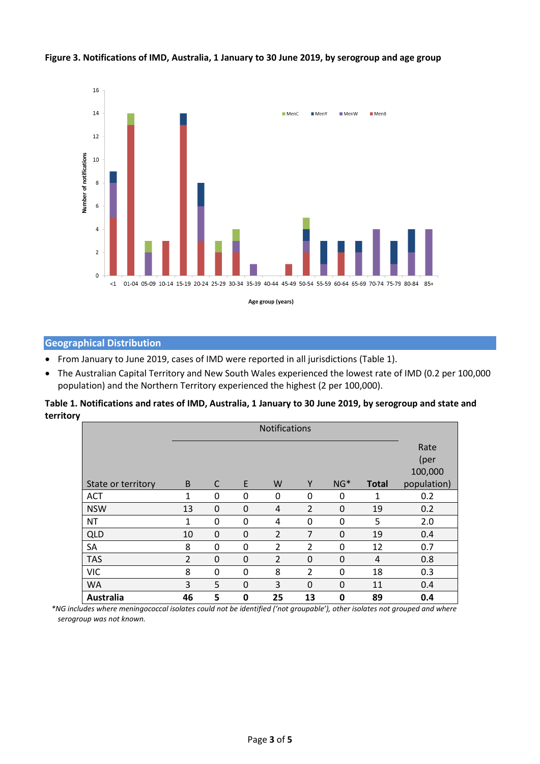

#### **Figure 3. Notifications of IMD, Australia, 1 January to 30 June 2019, by serogroup and age group**

#### **Geographical Distribution**

- From January to June 2019, cases of IMD were reported in all jurisdictions [\(Table 1\)](#page-2-0).
- The Australian Capital Territory and New South Wales experienced the lowest rate of IMD (0.2 per 100,000 population) and the Northern Territory experienced the highest (2 per 100,000).

<span id="page-2-0"></span>**Table 1. Notifications and rates of IMD, Australia, 1 January to 30 June 2019, by serogroup and state and territory**

|                    | <b>Notifications</b> |             |          |                |                |             |              |             |
|--------------------|----------------------|-------------|----------|----------------|----------------|-------------|--------------|-------------|
|                    |                      |             |          |                |                |             |              | Rate        |
|                    |                      |             |          |                |                |             |              | (per        |
|                    |                      |             |          |                |                |             |              | 100,000     |
| State or territory | B                    | C           | E        | W              | Y              | $NG*$       | <b>Total</b> | population) |
| <b>ACT</b>         | 1                    | 0           | 0        | 0              | 0              | 0           | 1            | 0.2         |
| <b>NSW</b>         | 13                   | $\Omega$    | 0        | 4              | $\overline{2}$ | $\mathbf 0$ | 19           | 0.2         |
| <b>NT</b>          | 1                    | $\mathbf 0$ | 0        | 4              | 0              | 0           | 5            | 2.0         |
| <b>QLD</b>         | 10                   | $\Omega$    | $\Omega$ | $\overline{2}$ | 7              | $\Omega$    | 19           | 0.4         |
| SA                 | 8                    | 0           | 0        | 2              | $\overline{2}$ | 0           | 12           | 0.7         |
| <b>TAS</b>         | $\overline{2}$       | $\Omega$    | $\Omega$ | $\overline{2}$ | 0              | 0           | 4            | 0.8         |
| <b>VIC</b>         | 8                    | 0           | 0        | 8              | $\overline{2}$ | 0           | 18           | 0.3         |
| <b>WA</b>          | 3                    | 5           | 0        | 3              | $\mathbf 0$    | 0           | 11           | 0.4         |
| <b>Australia</b>   | 46                   | 5           | 0        | 25             | 13             | 0           | 89           | 0.4         |

 $\mathsf{L}$ *\*NG includes where meningococcal isolates could not be identified ('not groupable'), other isolates not grouped and where serogroup was not known.*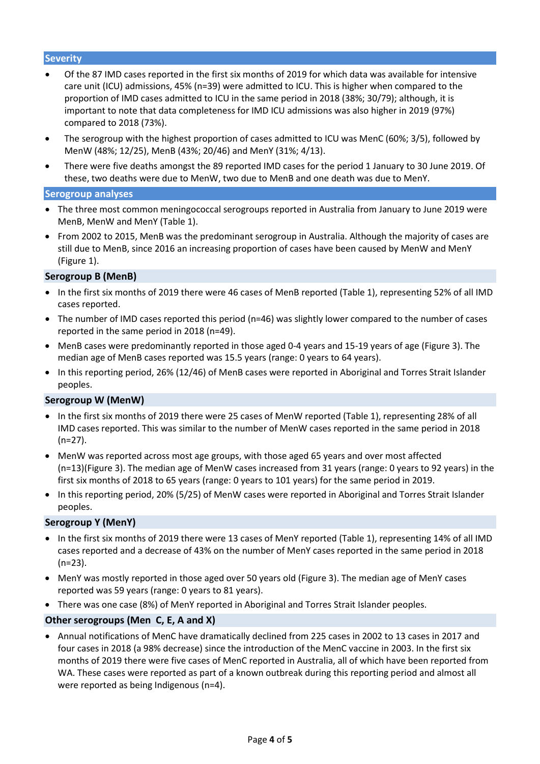#### **Severity**

- Of the 87 IMD cases reported in the first six months of 2019 for which data was available for intensive care unit (ICU) admissions, 45% (n=39) were admitted to ICU. This is higher when compared to the proportion of IMD cases admitted to ICU in the same period in 2018 (38%; 30/79); although, it is important to note that data completeness for IMD ICU admissions was also higher in 2019 (97%) compared to 2018 (73%).
- The serogroup with the highest proportion of cases admitted to ICU was MenC (60%; 3/5), followed by MenW (48%; 12/25), MenB (43%; 20/46) and MenY (31%; 4/13).
- There were five deaths amongst the 89 reported IMD cases for the period 1 January to 30 June 2019. Of these, two deaths were due to MenW, two due to MenB and one death was due to MenY.

#### **Serogroup analyses**

- The three most common meningococcal serogroups reported in Australia from January to June 2019 were MenB, MenW and MenY (Table 1).
- From 2002 to 2015, MenB was the predominant serogroup in Australia. Although the majority of cases are still due to MenB, since 2016 an increasing proportion of cases have been caused by MenW and MenY [\(Figure 1\)](#page-0-0).

#### **Serogroup B (MenB)**

- In the first six months of 2019 there were 46 cases of MenB reported (Table 1), representing 52% of all IMD cases reported.
- The number of IMD cases reported this period (n=46) was slightly lower compared to the number of cases reported in the same period in 2018 (n=49).
- MenB cases were predominantly reported in those aged 0-4 years and 15-19 years of age [\(Figure 3\)](#page-1-1). The median age of MenB cases reported was 15.5 years (range: 0 years to 64 years).
- In this reporting period, 26% (12/46) of MenB cases were reported in Aboriginal and Torres Strait Islander peoples.

#### **Serogroup W (MenW)**

- In the first six months of 2019 there were 25 cases of MenW reported (Table 1), representing 28% of all IMD cases reported. This was similar to the number of MenW cases reported in the same period in 2018 (n=27).
- MenW was reported across most age groups, with those aged 65 years and over most affected (n=13)[\(Figure 3\)](#page-1-1). The median age of MenW cases increased from 31 years (range: 0 years to 92 years) in the first six months of 2018 to 65 years (range: 0 years to 101 years) for the same period in 2019.
- In this reporting period, 20% (5/25) of MenW cases were reported in Aboriginal and Torres Strait Islander peoples.

#### **Serogroup Y (MenY)**

- In the first six months of 2019 there were 13 cases of MenY reported (Table 1), representing 14% of all IMD cases reported and a decrease of 43% on the number of MenY cases reported in the same period in 2018 (n=23).
- MenY was mostly reported in those aged over 50 years old [\(Figure 3\)](#page-1-1). The median age of MenY cases reported was 59 years (range: 0 years to 81 years).
- There was one case (8%) of MenY reported in Aboriginal and Torres Strait Islander peoples.

#### **Other serogroups (Men C, E, A and X)**

• Annual notifications of MenC have dramatically declined from 225 cases in 2002 to 13 cases in 2017 and four cases in 2018 (a 98% decrease) since the introduction of the MenC vaccine in 2003. In the first six months of 2019 there were five cases of MenC reported in Australia, all of which have been reported from WA. These cases were reported as part of a known outbreak during this reporting period and almost all were reported as being Indigenous (n=4).